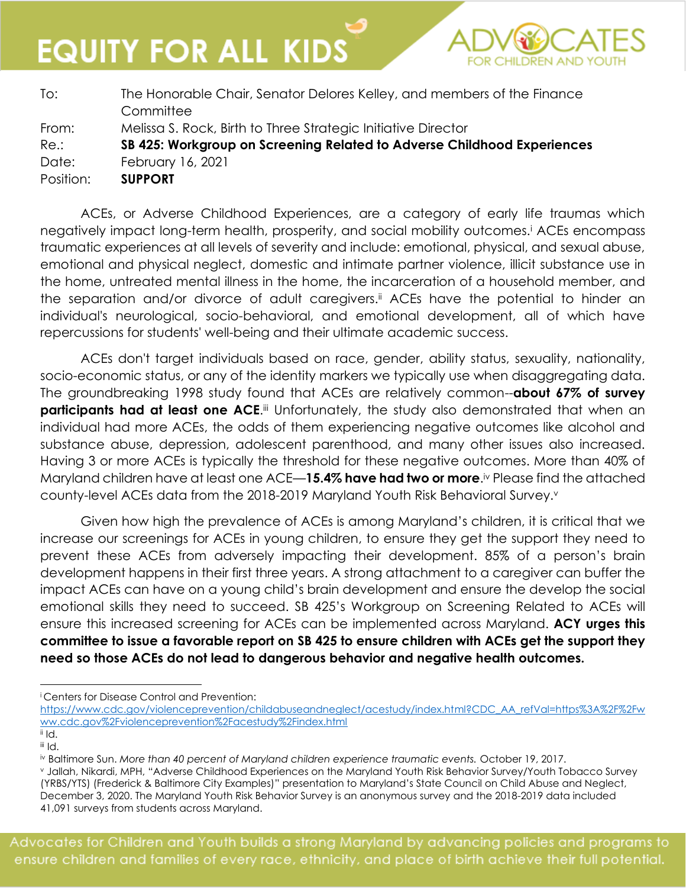**EQUITY FOR ALL KIDS** 

| To:       | The Honorable Chair, Senator Delores Kelley, and members of the Finance<br>Committee |  |
|-----------|--------------------------------------------------------------------------------------|--|
| From:     | Melissa S. Rock, Birth to Three Strategic Initiative Director                        |  |
| Re.:      | SB 425: Workgroup on Screening Related to Adverse Childhood Experiences              |  |
| Date:     | February 16, 2021                                                                    |  |
| Position: | <b>SUPPORT</b>                                                                       |  |

ACEs, or Adverse Childhood Experiences, are a category of early life traumas which negatively impact long-term health, prosperity, and social mobility outcomes.<sup>i</sup> ACEs encompass traumatic experiences at all levels of severity and include: emotional, physical, and sexual abuse, emotional and physical neglect, domestic and intimate partner violence, illicit substance use in the home, untreated mental illness in the home, the incarceration of a household member, and the separation and/or divorce of adult caregivers.ii ACEs have the potential to hinder an individual's neurological, socio-behavioral, and emotional development, all of which have repercussions for students' well-being and their ultimate academic success.

ACEs don't target individuals based on race, gender, ability status, sexuality, nationality, socio-economic status, or any of the identity markers we typically use when disaggregating data. The groundbreaking 1998 study found that ACEs are relatively common--**about 67% of survey participants had at least one ACE.**iii Unfortunately, the study also demonstrated that when an individual had more ACEs, the odds of them experiencing negative outcomes like alcohol and substance abuse, depression, adolescent parenthood, and many other issues also increased. Having 3 or more ACEs is typically the threshold for these negative outcomes. More than 40% of Maryland children have at least one ACE—**15.4% have had two or more**. iv Please find the attached county-level ACEs data from the 2018-2019 Maryland Youth Risk Behavioral Survey.v

Given how high the prevalence of ACEs is among Maryland's children, it is critical that we increase our screenings for ACEs in young children, to ensure they get the support they need to prevent these ACEs from adversely impacting their development. 85% of a person's brain development happens in their first three years. A strong attachment to a caregiver can buffer the impact ACEs can have on a young child's brain development and ensure the develop the social emotional skills they need to succeed. SB 425's Workgroup on Screening Related to ACEs will ensure this increased screening for ACEs can be implemented across Maryland. **ACY urges this committee to issue a favorable report on SB 425 to ensure children with ACEs get the support they need so those ACEs do not lead to dangerous behavior and negative health outcomes.**

<sup>i</sup> Centers for Disease Control and Prevention:

[https://www.cdc.gov/violenceprevention/childabuseandneglect/acestudy/index.html?CDC\\_AA\\_refVal=https%3A%2F%2Fw](https://www.cdc.gov/violenceprevention/childabuseandneglect/acestudy/index.html?CDC_AA_refVal=https%3A%2F%2Fwww.cdc.gov%2Fviolenceprevention%2Facestudy%2Findex.html) [ww.cdc.gov%2Fviolenceprevention%2Facestudy%2Findex.html](https://www.cdc.gov/violenceprevention/childabuseandneglect/acestudy/index.html?CDC_AA_refVal=https%3A%2F%2Fwww.cdc.gov%2Fviolenceprevention%2Facestudy%2Findex.html)

 $i$ <sub>ii</sub> Id. iii Id.

iv Baltimore Sun. *More than 40 percent of Maryland children experience traumatic events.* October 19, 2017.

<sup>v</sup> Jallah, Nikardi, MPH, "Adverse Childhood Experiences on the Maryland Youth Risk Behavior Survey/Youth Tobacco Survey (YRBS/YTS) (Frederick & Baltimore City Examples)" presentation to Maryland's State Council on Child Abuse and Neglect, December 3, 2020. The Maryland Youth Risk Behavior Survey is an anonymous survey and the 2018-2019 data included 41,091 surveys from students across Maryland.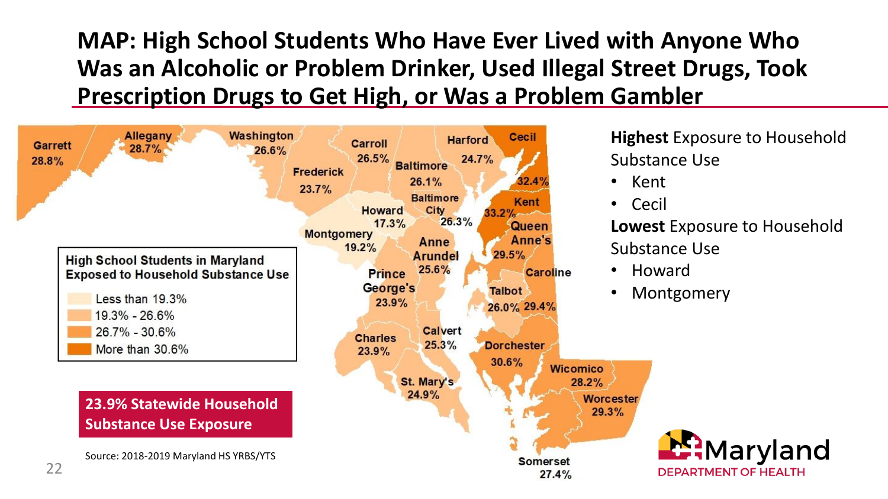**MAP: High School Students Who Have Ever Lived with Anyone Who Was an Alcoholic or Problem Drinker, Used Illegal Street Drugs, Took Prescription Drugs to Get High, or Was a Problem Gambler**



**Highest** Exposure to Household Substance Use

- Kent
- Cecil

**Lowest** Exposure to Household Substance Use

• Howard

29.3%

• Montgomery

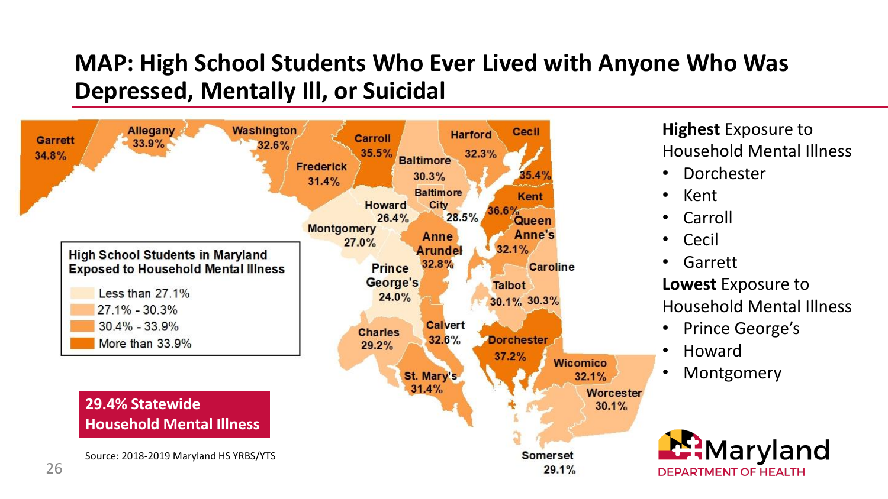### **MAP: High School Students Who Ever Lived with Anyone Who Was Depressed, Mentally Ill, or Suicidal**



**Highest** Exposure to Household Mental Illness

- Dorchester
- Kent
- Carroll
- Cecil
- Garrett **Lowest** Exposure to Household Mental Illness
- Prince George's
- Howard
- **Montgomery**

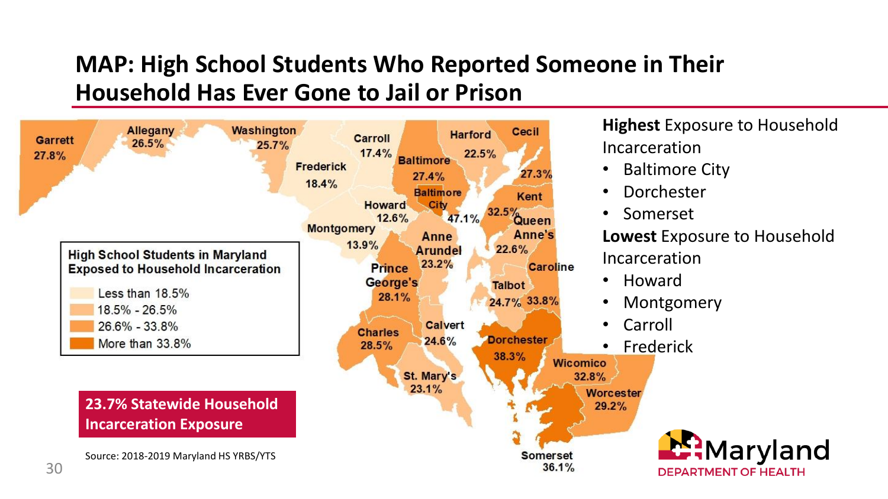### **MAP: High School Students Who Reported Someone in Their Household Has Ever Gone to Jail or Prison**



**Highest** Exposure to Household Incarceration

- Baltimore City
- Dorchester
- Somerset

**Lowest** Exposure to Household Incarceration

- Howard
- Montgomery
- Carroll
- **Frederick**

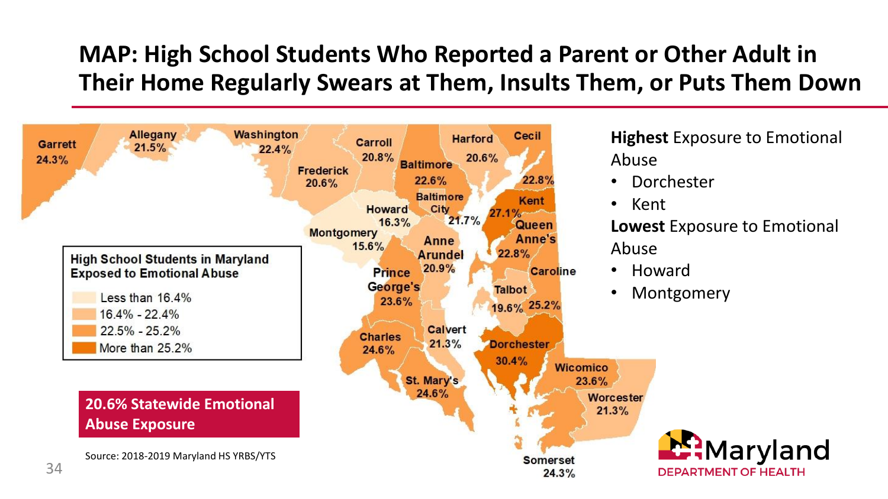### **MAP: High School Students Who Reported a Parent or Other Adult in Their Home Regularly Swears at Them, Insults Them, or Puts Them Down**



**Highest** Exposure to Emotional Abuse

- **Dorchester**
- Kent

**Lowest** Exposure to Emotional Abuse

- Howard
- Montgomery

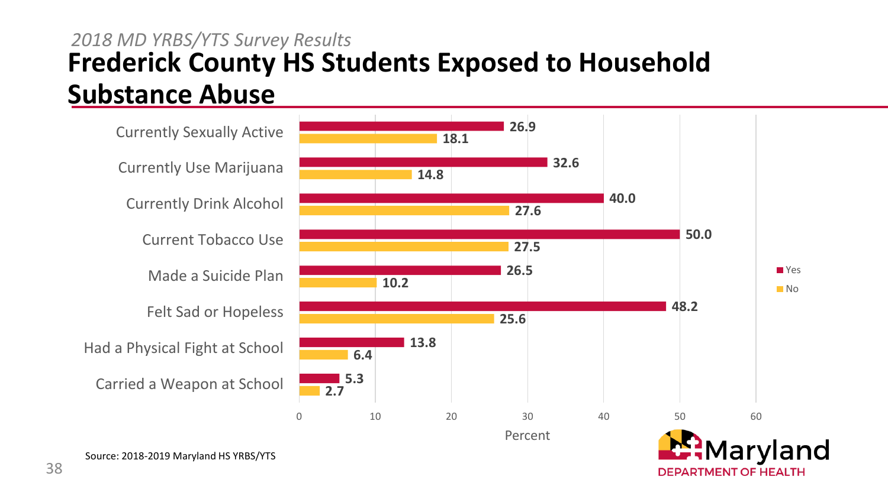### **Frederick County HS Students Exposed to Household Substance Abuse** *2018 MD YRBS/YTS Survey Results*

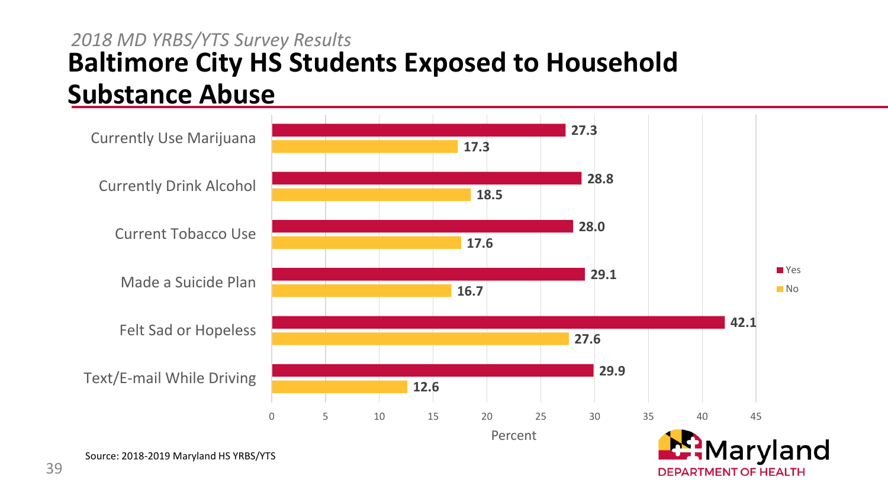### **Baltimore City HS Students Exposed to Household Substance Abuse** *2018 MD YRBS/YTS Survey Results*

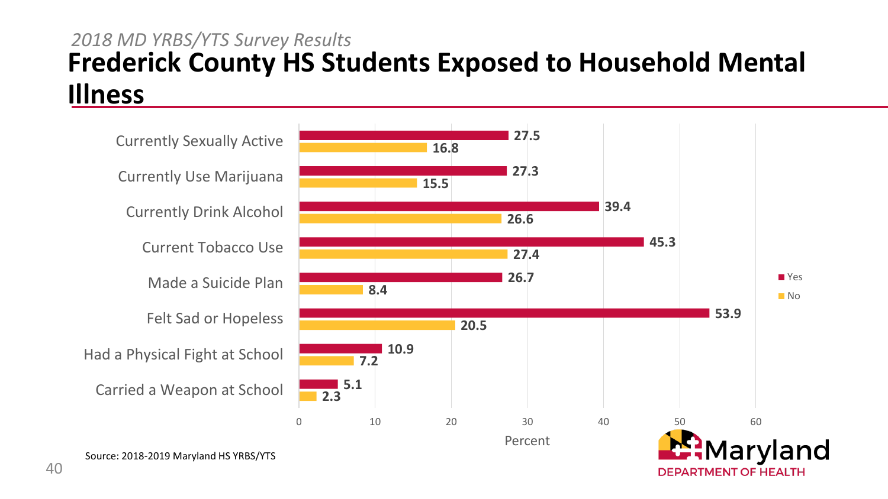#### **Frederick County HS Students Exposed to Household Mental Illness** *2018 MD YRBS/YTS Survey Results*

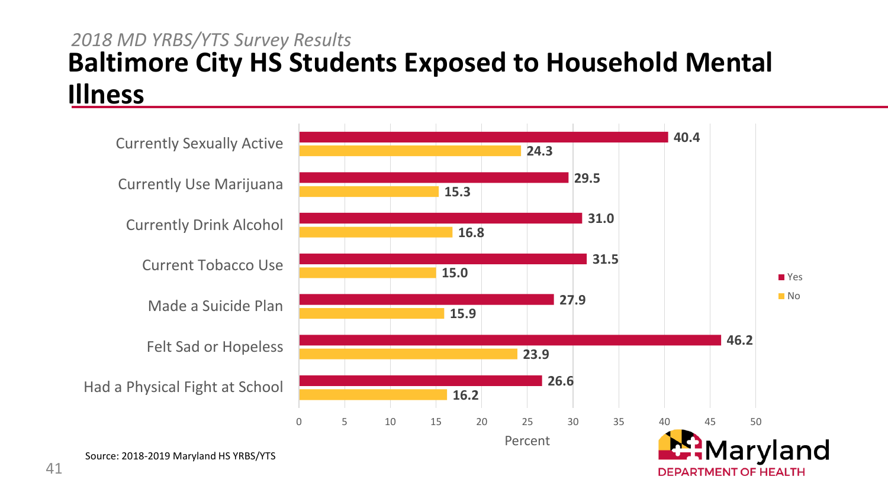#### **Baltimore City HS Students Exposed to Household Mental Illness** *2018 MD YRBS/YTS Survey Results*

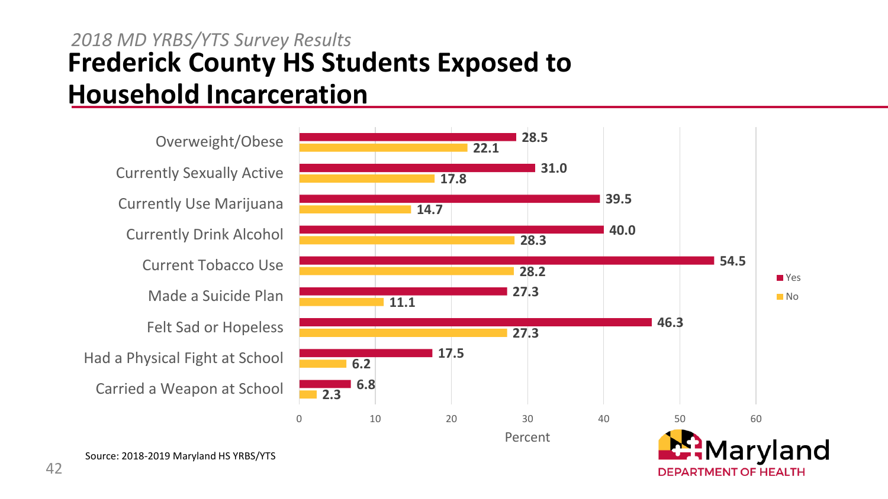### **Frederick County HS Students Exposed to Household Incarceration** *2018 MD YRBS/YTS Survey Results*

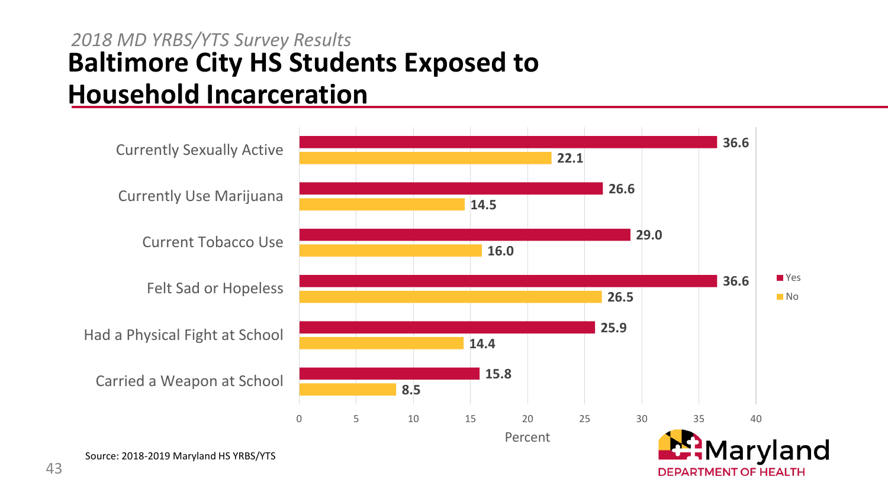### **Baltimore City HS Students Exposed to Household Incarceration** *2018 MD YRBS/YTS Survey Results*

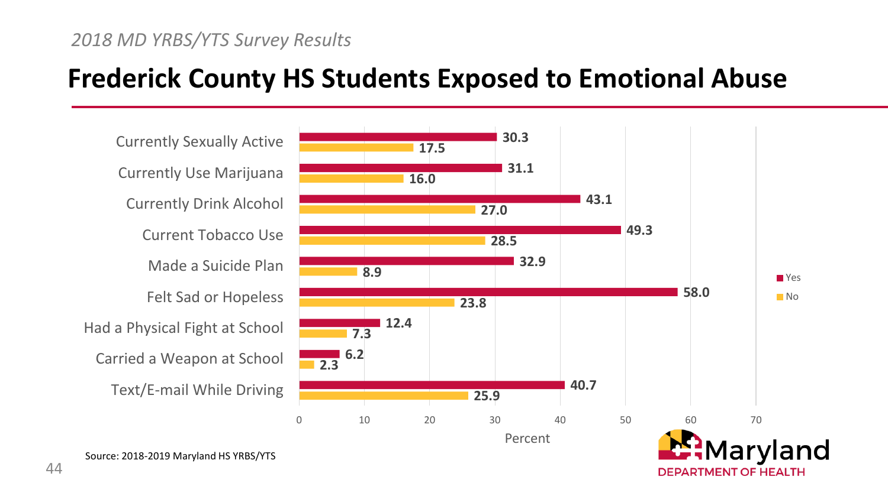### **Frederick County HS Students Exposed to Emotional Abuse**

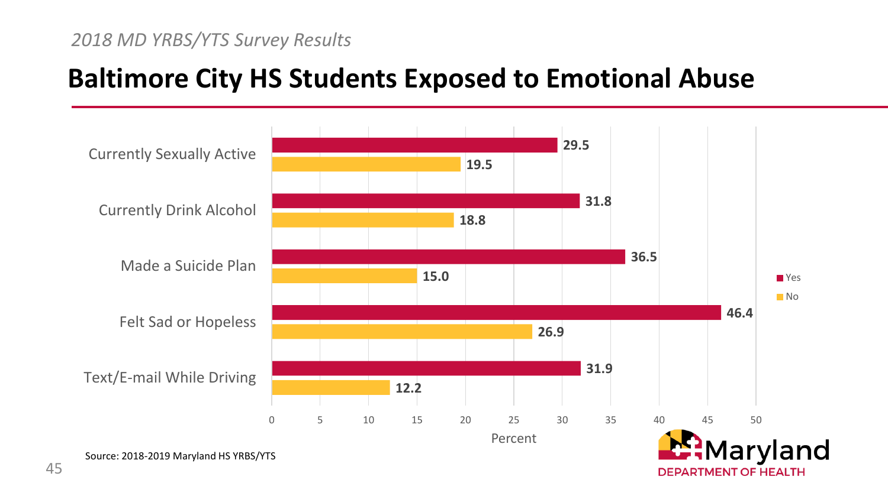#### *2018 MD YRBS/YTS Survey Results*

### **Baltimore City HS Students Exposed to Emotional Abuse**

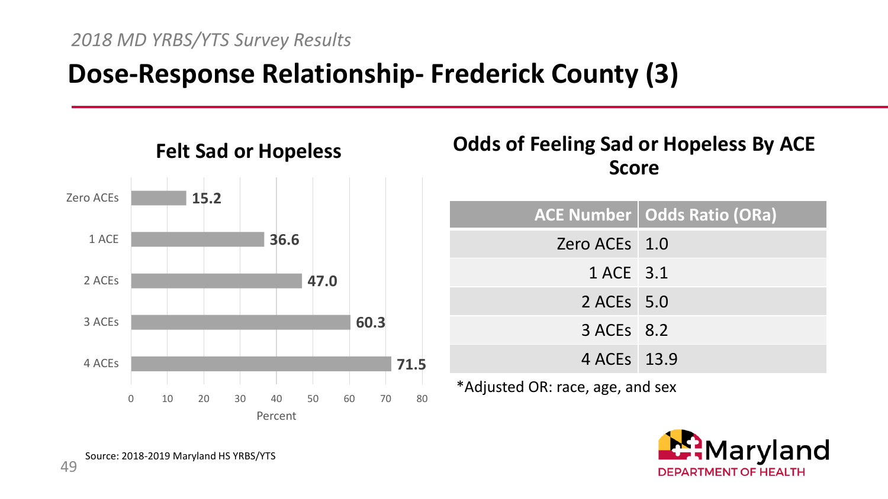## **Dose-Response Relationship- Frederick County (3)**



#### **Odds of Feeling Sad or Hopeless By ACE Score**

|                                  | ACE Number   Odds Ratio (ORa) |  |
|----------------------------------|-------------------------------|--|
| Zero ACEs 1.0                    |                               |  |
| 1 ACE 3.1                        |                               |  |
| 2 ACEs 5.0                       |                               |  |
| 3 ACEs 8.2                       |                               |  |
| 4 ACEs 13.9                      |                               |  |
| *Adjusted OR: race, age, and sex |                               |  |

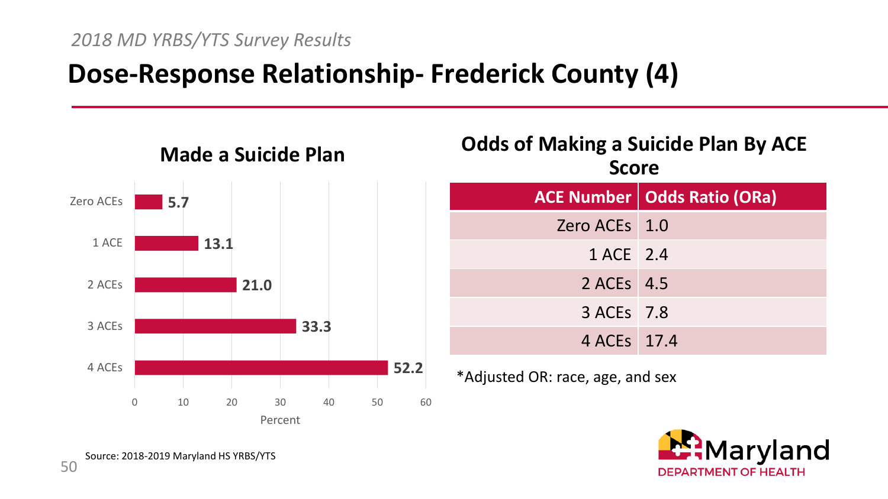## **Dose-Response Relationship- Frederick County (4)**



### **Odds of Making a Suicide Plan By ACE Score ACE Number Odds Ratio (ORa)** Zero ACEs 1.0 1 ACE 2.4 2 ACEs 4.5 3 ACEs 7.8 4 ACEs 17.4

\*Adjusted OR: race, age, and sex

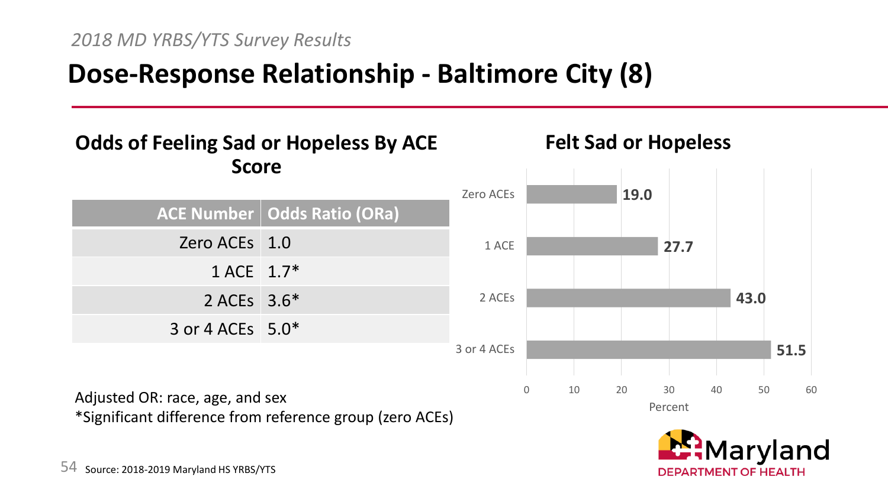# **Dose-Response Relationship - Baltimore City (8)**

#### **Odds of Feeling Sad or Hopeless By ACE Score**



\*Significant difference from reference group (zero ACEs)



#### land **DEPARTMENT OF HEALTH**

**Felt Sad or Hopeless**

Adjusted OR: race, age, and sex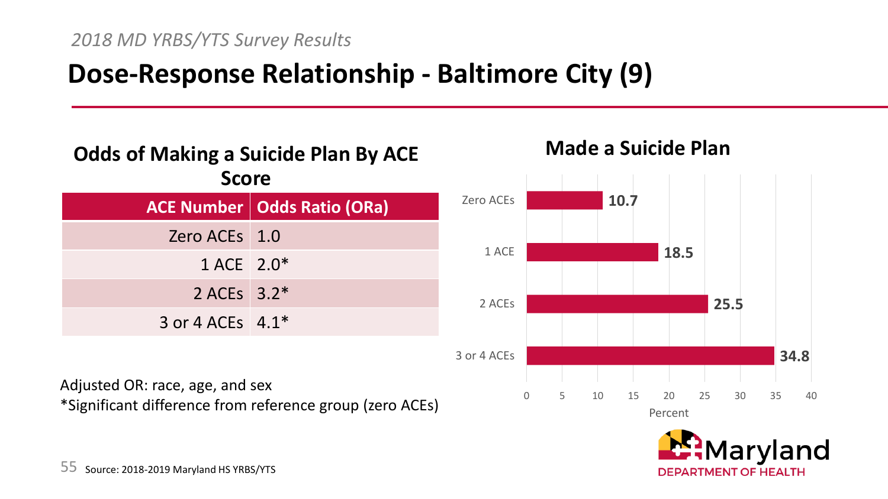# **Dose-Response Relationship - Baltimore City (9)**

#### **Odds of Making a Suicide Plan By ACE Score**

|                    | <b>ACE Number   Odds Ratio (ORa)</b> |
|--------------------|--------------------------------------|
| Zero ACEs 1.0      |                                      |
| 1 ACE 2.0*         |                                      |
| 2 ACEs 3.2*        |                                      |
| 3 or 4 ACEs $4.1*$ |                                      |

Adjusted OR: race, age, and sex \*Significant difference from reference group (zero ACEs)





**Made a Suicide Plan**